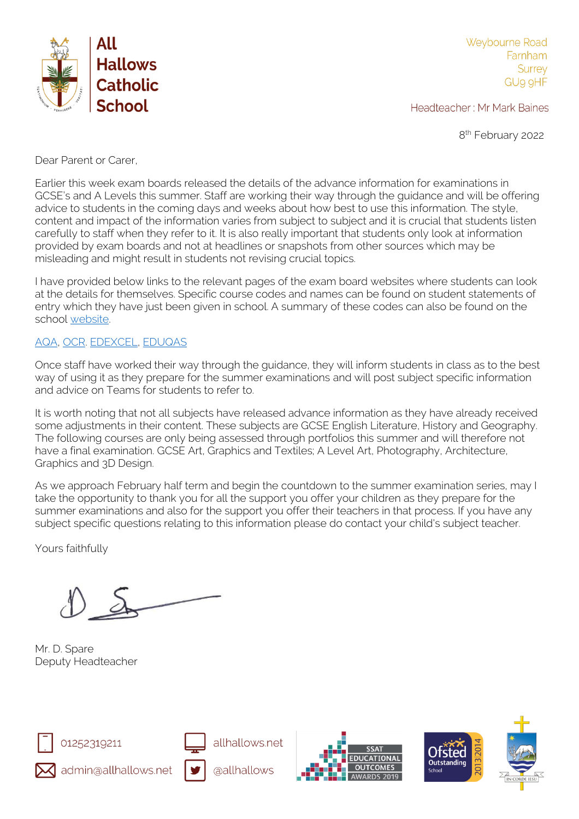

Weybourne Road Farnham **Surrey** GU9 9HF

Headteacher: Mr Mark Baines

8<sup>th</sup> February 2022

Dear Parent or Carer,

Earlier this week exam boards released the details of the advance information for examinations in GCSE's and A Levels this summer. Staff are working their way through the guidance and will be offering advice to students in the coming days and weeks about how best to use this information. The style, content and impact of the information varies from subject to subject and it is crucial that students listen carefully to staff when they refer to it. It is also really important that students only look at information provided by exam boards and not at headlines or snapshots from other sources which may be misleading and might result in students not revising crucial topics.

I have provided below links to the relevant pages of the exam board websites where students can look at the details for themselves. Specific course codes and names can be found on student statements of entry which they have just been given in school. A summary of these codes can also be found on the school [website.](https://www.allhallows.net/examinations.html)

## [AQA,](https://www.aqa.org.uk/2022-exam-changes) [OCR.](https://www.ocr.org.uk/administration/support-and-tools/siu/summer-2022-advance-info-639931/) [EDEXCEL,](https://qualifications.pearson.com/en/campaigns/summer-2022-support.html#:~:text=There%20are%20no%20Adjustments%20or,June%20and%20October%2FNovember%20series.) [EDUQAS](https://www.eduqas.co.uk/home/2022-here-to-support-you/as-a-level-and-gcse-assessment-arrangements/advance-information/?utm_source=social&utm_medium=social&utm_campaign=daily)

Once staff have worked their way through the guidance, they will inform students in class as to the best way of using it as they prepare for the summer examinations and will post subject specific information and advice on Teams for students to refer to.

It is worth noting that not all subjects have released advance information as they have already received some adjustments in their content. These subjects are GCSE English Literature, History and Geography. The following courses are only being assessed through portfolios this summer and will therefore not have a final examination. GCSE Art, Graphics and Textiles; A Level Art, Photography, Architecture, Graphics and 3D Design.

As we approach February half term and begin the countdown to the summer examination series, may I take the opportunity to thank you for all the support you offer your children as they prepare for the summer examinations and also for the support you offer their teachers in that process. If you have any subject specific questions relating to this information please do contact your child's subject teacher.

Yours faithfully

Mr. D. Spare Deputy Headteacher